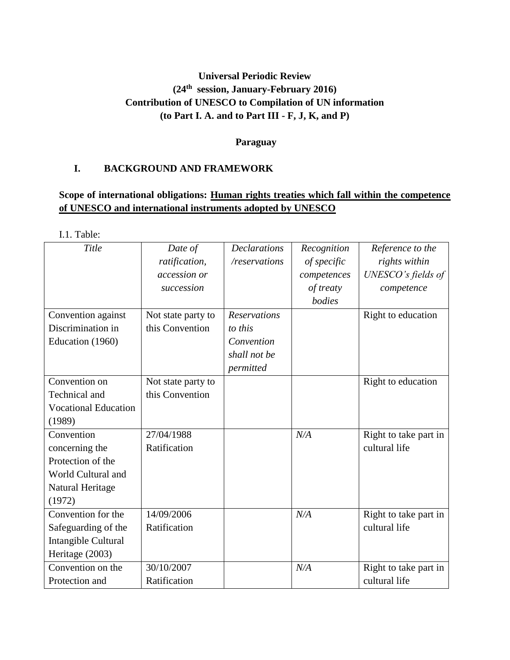# **Universal Periodic Review (24th session, January-February 2016) Contribution of UNESCO to Compilation of UN information (to Part I. A. and to Part III - F, J, K, and P)**

#### **Paraguay**

## **I. BACKGROUND AND FRAMEWORK**

# **Scope of international obligations: Human rights treaties which fall within the competence of UNESCO and international instruments adopted by UNESCO**

I.1. Table:

| Title                       | Date of            | <b>Declarations</b> | Recognition | Reference to the      |
|-----------------------------|--------------------|---------------------|-------------|-----------------------|
|                             | ratification,      | /reservations       | of specific | rights within         |
|                             | accession or       |                     | competences | UNESCO's fields of    |
|                             | succession         |                     | of treaty   | competence            |
|                             |                    |                     | bodies      |                       |
| Convention against          | Not state party to | <b>Reservations</b> |             | Right to education    |
| Discrimination in           | this Convention    | to this             |             |                       |
| Education (1960)            |                    | Convention          |             |                       |
|                             |                    | shall not be        |             |                       |
|                             |                    | permitted           |             |                       |
| Convention on               | Not state party to |                     |             | Right to education    |
| Technical and               | this Convention    |                     |             |                       |
| <b>Vocational Education</b> |                    |                     |             |                       |
| (1989)                      |                    |                     |             |                       |
| Convention                  | 27/04/1988         |                     | N/A         | Right to take part in |
| concerning the              | Ratification       |                     |             | cultural life         |
| Protection of the           |                    |                     |             |                       |
| World Cultural and          |                    |                     |             |                       |
| Natural Heritage            |                    |                     |             |                       |
| (1972)                      |                    |                     |             |                       |
| Convention for the          | 14/09/2006         |                     | N/A         | Right to take part in |
| Safeguarding of the         | Ratification       |                     |             | cultural life         |
| Intangible Cultural         |                    |                     |             |                       |
| Heritage (2003)             |                    |                     |             |                       |
| Convention on the           | 30/10/2007         |                     | N/A         | Right to take part in |
| Protection and              | Ratification       |                     |             | cultural life         |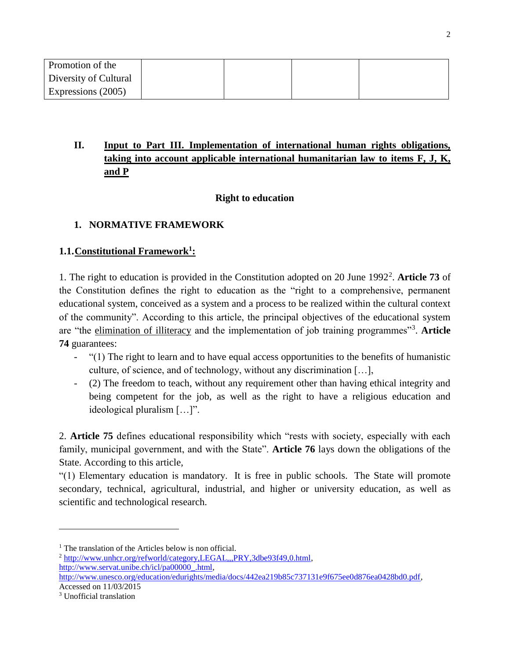| Promotion of the      |  |  |
|-----------------------|--|--|
| Diversity of Cultural |  |  |
| Expressions (2005)    |  |  |

# **II. Input to Part III. Implementation of international human rights obligations, taking into account applicable international humanitarian law to items F, J, K, and P**

# **Right to education**

# **1. NORMATIVE FRAMEWORK**

## **1.1.Constitutional Framework<sup>1</sup> :**

1. The right to education is provided in the Constitution adopted on 20 June 1992<sup>2</sup> . **Article 73** of the Constitution defines the right to education as the "right to a comprehensive, permanent educational system, conceived as a system and a process to be realized within the cultural context of the community". According to this article, the principal objectives of the educational system are "the elimination of illiteracy and the implementation of job training programmes"<sup>3</sup> . **Article 74** guarantees:

- "(1) The right to learn and to have equal access opportunities to the benefits of humanistic culture, of science, and of technology, without any discrimination […],
- (2) The freedom to teach, without any requirement other than having ethical integrity and being competent for the job, as well as the right to have a religious education and ideological pluralism […]".

2. **Article 75** defines educational responsibility which "rests with society, especially with each family, municipal government, and with the State". **Article 76** lays down the obligations of the State. According to this article,

"(1) Elementary education is mandatory. It is free in public schools. The State will promote secondary, technical, agricultural, industrial, and higher or university education, as well as scientific and technological research.

<sup>&</sup>lt;sup>1</sup> The translation of the Articles below is non official.

<sup>2</sup> [http://www.unhcr.org/refworld/category,LEGAL,,,PRY,3dbe93f49,0.html,](http://www.unhcr.org/refworld/category,LEGAL,,,PRY,3dbe93f49,0.html) [http://www.servat.unibe.ch/icl/pa00000\\_.html,](http://www.servat.unibe.ch/icl/pa00000_.html) 

[http://www.unesco.org/education/edurights/media/docs/442ea219b85c737131e9f675ee0d876ea0428bd0.pdf,](http://www.unesco.org/education/edurights/media/docs/442ea219b85c737131e9f675ee0d876ea0428bd0.pdf) Accessed on 11/03/2015

<sup>3</sup> Unofficial translation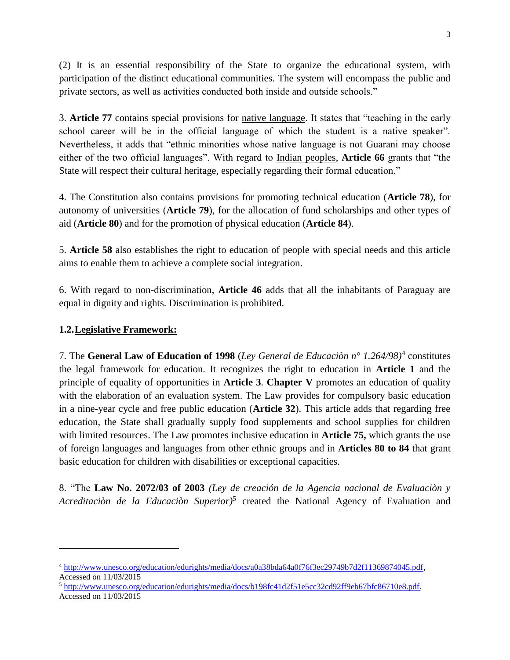(2) It is an essential responsibility of the State to organize the educational system, with participation of the distinct educational communities. The system will encompass the public and private sectors, as well as activities conducted both inside and outside schools."

3. **Article 77** contains special provisions for native language. It states that "teaching in the early school career will be in the official language of which the student is a native speaker". Nevertheless, it adds that "ethnic minorities whose native language is not Guarani may choose either of the two official languages". With regard to Indian peoples, **Article 66** grants that "the State will respect their cultural heritage, especially regarding their formal education."

4. The Constitution also contains provisions for promoting technical education (**Article 78**), for autonomy of universities (**Article 79**), for the allocation of fund scholarships and other types of aid (**Article 80**) and for the promotion of physical education (**Article 84**).

5. **Article 58** also establishes the right to education of people with special needs and this article aims to enable them to achieve a complete social integration.

6. With regard to non-discrimination, **Article 46** adds that all the inhabitants of Paraguay are equal in dignity and rights. Discrimination is prohibited.

# **1.2.Legislative Framework:**

 $\overline{\phantom{a}}$ 

7. The **General Law of Education of 1998** (*Ley General de Educaciòn n° 1.264/98)*<sup>4</sup> constitutes the legal framework for education. It recognizes the right to education in **Article 1** and the principle of equality of opportunities in **Article 3**. **Chapter V** promotes an education of quality with the elaboration of an evaluation system. The Law provides for compulsory basic education in a nine-year cycle and free public education (**Article 32**). This article adds that regarding free education, the State shall gradually supply food supplements and school supplies for children with limited resources. The Law promotes inclusive education in **Article 75,** which grants the use of foreign languages and languages from other ethnic groups and in **Articles 80 to 84** that grant basic education for children with disabilities or exceptional capacities.

8. "The **Law No. 2072/03 of 2003** *(Ley de creación de la Agencia nacional de Evaluaciòn y*  Acreditaciòn de la Educaciòn Superior)<sup>5</sup> created the National Agency of Evaluation and

<sup>4</sup> [http://www.unesco.org/education/edurights/media/docs/a0a38bda64a0f76f3ec29749b7d2f11369874045.pdf,](http://www.unesco.org/education/edurights/media/docs/a0a38bda64a0f76f3ec29749b7d2f11369874045.pdf) Accessed on 11/03/2015

<sup>5</sup> [http://www.unesco.org/education/edurights/media/docs/b198fc41d2f51e5cc32cd92ff9eb67bfc86710e8.pdf,](http://www.unesco.org/education/edurights/media/docs/b198fc41d2f51e5cc32cd92ff9eb67bfc86710e8.pdf) Accessed on 11/03/2015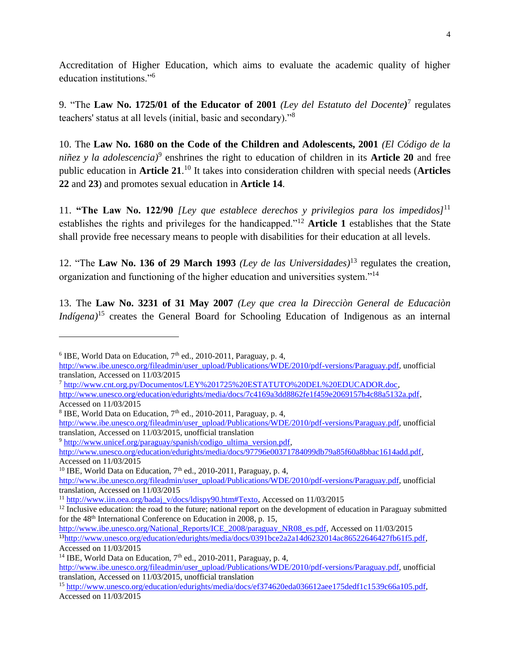Accreditation of Higher Education, which aims to evaluate the academic quality of higher education institutions."<sup>6</sup>

9. "The **Law No. 1725/01 of the Educator of 2001** *(Ley del Estatuto del Docente)* 7 regulates teachers' status at all levels (initial, basic and secondary)."<sup>8</sup>

10. The **Law No. 1680 on the Code of the Children and Adolescents, 2001** *(El Código de la niñez y la adolescencia)*<sup>9</sup> enshrines the right to education of children in its **Article 20** and free public education in **Article 21**. <sup>10</sup> It takes into consideration children with special needs (**Articles 22** and **23**) and promotes sexual education in **Article 14**.

11. **"The Law No. 122/90** *[Ley que establece derechos y privilegios para los impedidos]*<sup>11</sup> establishes the rights and privileges for the handicapped."<sup>12</sup> **Article 1** establishes that the State shall provide free necessary means to people with disabilities for their education at all levels.

12. "The **Law No. 136 of 29 March 1993** *(Ley de las Universidades)*<sup>13</sup> regulates the creation, organization and functioning of the higher education and universities system."<sup>14</sup>

13. The **Law No. 3231 of 31 May 2007** *(Ley que crea la Direcciòn General de Educaciòn Indígena)*<sup>15</sup> creates the General Board for Schooling Education of Indigenous as an internal

l

<sup>9</sup> http://www.unicef.org/paraguay/spanish/codigo\_ultima\_version.pdf.

[http://www.unesco.org/education/edurights/media/docs/97796e00371784099db79a85f60a8bbac1614add.pdf,](http://www.unesco.org/education/edurights/media/docs/97796e00371784099db79a85f60a8bbac1614add.pdf) Accessed on 11/03/2015

<sup>10</sup> IBE, World Data on Education,  $7<sup>th</sup>$  ed., 2010-2011, Paraguay, p. 4,

<sup>&</sup>lt;sup>6</sup> IBE, World Data on Education,  $7<sup>th</sup>$  ed., 2010-2011, Paraguay, p. 4,

[http://www.ibe.unesco.org/fileadmin/user\\_upload/Publications/WDE/2010/pdf-versions/Paraguay.pdf,](http://www.ibe.unesco.org/fileadmin/user_upload/Publications/WDE/2010/pdf-versions/Paraguay.pdf) unofficial translation, Accessed on 11/03/2015

<sup>7</sup> [http://www.cnt.org.py/Documentos/LEY%201725%20ESTATUTO%20DEL%20EDUCADOR.doc,](http://www.cnt.org.py/Documentos/LEY%201725%20ESTATUTO%20DEL%20EDUCADOR.doc)

[http://www.unesco.org/education/edurights/media/docs/7c4169a3dd8862fe1f459e2069157b4c88a5132a.pdf,](http://www.unesco.org/education/edurights/media/docs/7c4169a3dd8862fe1f459e2069157b4c88a5132a.pdf) Accessed on 11/03/2015

<sup>&</sup>lt;sup>8</sup> IBE, World Data on Education,  $7<sup>th</sup>$  ed., 2010-2011, Paraguay, p. 4,

[http://www.ibe.unesco.org/fileadmin/user\\_upload/Publications/WDE/2010/pdf-versions/Paraguay.pdf,](http://www.ibe.unesco.org/fileadmin/user_upload/Publications/WDE/2010/pdf-versions/Paraguay.pdf) unofficial translation, Accessed on 11/03/2015, unofficial translation

[http://www.ibe.unesco.org/fileadmin/user\\_upload/Publications/WDE/2010/pdf-versions/Paraguay.pdf,](http://www.ibe.unesco.org/fileadmin/user_upload/Publications/WDE/2010/pdf-versions/Paraguay.pdf) unofficial translation, Accessed on 11/03/2015

<sup>&</sup>lt;sup>11</sup> [http://www.iin.oea.org/badaj\\_v/docs/ldispy90.htm#Texto,](http://www.iin.oea.org/badaj_v/docs/ldispy90.htm#Texto) Accessed on 11/03/2015

 $12$  Inclusive education: the road to the future; national report on the development of education in Paraguay submitted for the 48<sup>th</sup> International Conference on Education in 2008, p. 15,

[http://www.ibe.unesco.org/National\\_Reports/ICE\\_2008/paraguay\\_NR08\\_es.pdf,](http://www.ibe.unesco.org/National_Reports/ICE_2008/paraguay_NR08_es.pdf) Accessed on 11/03/2015 <sup>13</sup>[http://www.unesco.org/education/edurights/media/docs/0391bce2a2a14d6232014ac86522646427fb61f5.pdf,](http://www.unesco.org/education/edurights/media/docs/0391bce2a2a14d6232014ac86522646427fb61f5.pdf) Accessed on 11/03/2015

<sup>&</sup>lt;sup>14</sup> IBE, World Data on Education,  $7<sup>th</sup>$  ed., 2010-2011, Paraguay, p. 4,

[http://www.ibe.unesco.org/fileadmin/user\\_upload/Publications/WDE/2010/pdf-versions/Paraguay.pdf,](http://www.ibe.unesco.org/fileadmin/user_upload/Publications/WDE/2010/pdf-versions/Paraguay.pdf) unofficial translation, Accessed on 11/03/2015, unofficial translation

<sup>&</sup>lt;sup>15</sup> [http://www.unesco.org/education/edurights/media/docs/ef374620eda036612aee175dedf1c1539c66a105.pdf,](http://www.unesco.org/education/edurights/media/docs/ef374620eda036612aee175dedf1c1539c66a105.pdf) Accessed on 11/03/2015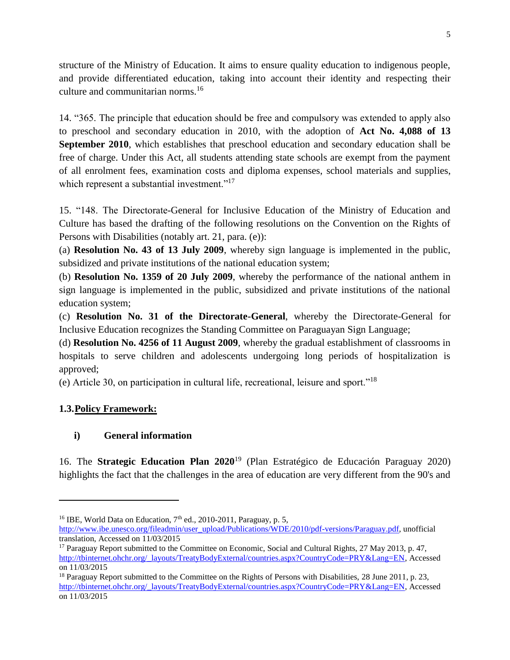structure of the Ministry of Education. It aims to ensure quality education to indigenous people, and provide differentiated education, taking into account their identity and respecting their culture and communitarian norms.<sup>16</sup>

14. "365. The principle that education should be free and compulsory was extended to apply also to preschool and secondary education in 2010, with the adoption of **Act No. 4,088 of 13 September 2010**, which establishes that preschool education and secondary education shall be free of charge. Under this Act, all students attending state schools are exempt from the payment of all enrolment fees, examination costs and diploma expenses, school materials and supplies, which represent a substantial investment."<sup>17</sup>

15. "148. The Directorate-General for Inclusive Education of the Ministry of Education and Culture has based the drafting of the following resolutions on the Convention on the Rights of Persons with Disabilities (notably art. 21, para. (e)):

(a) **Resolution No. 43 of 13 July 2009**, whereby sign language is implemented in the public, subsidized and private institutions of the national education system;

(b) **Resolution No. 1359 of 20 July 2009**, whereby the performance of the national anthem in sign language is implemented in the public, subsidized and private institutions of the national education system;

(c) **Resolution No. 31 of the Directorate-General**, whereby the Directorate-General for Inclusive Education recognizes the Standing Committee on Paraguayan Sign Language;

(d) **Resolution No. 4256 of 11 August 2009**, whereby the gradual establishment of classrooms in hospitals to serve children and adolescents undergoing long periods of hospitalization is approved;

(e) Article 30, on participation in cultural life, recreational, leisure and sport."<sup>18</sup>

## **1.3.Policy Framework:**

 $\overline{\phantom{a}}$ 

# **i) General information**

16. The **Strategic Education Plan 2020**<sup>19</sup> (Plan Estratégico de Educación Paraguay 2020) highlights the fact that the challenges in the area of education are very different from the 90's and

<sup>&</sup>lt;sup>16</sup> IBE, World Data on Education,  $7<sup>th</sup>$  ed., 2010-2011, Paraguay, p. 5,

[http://www.ibe.unesco.org/fileadmin/user\\_upload/Publications/WDE/2010/pdf-versions/Paraguay.pdf,](http://www.ibe.unesco.org/fileadmin/user_upload/Publications/WDE/2010/pdf-versions/Paraguay.pdf) unofficial translation, Accessed on 11/03/2015

<sup>&</sup>lt;sup>17</sup> Paraguay Report submitted to the Committee on Economic, Social and Cultural Rights, 27 May 2013, p. 47, [http://tbinternet.ohchr.org/\\_layouts/TreatyBodyExternal/countries.aspx?CountryCode=PRY&Lang=EN,](http://tbinternet.ohchr.org/_layouts/TreatyBodyExternal/countries.aspx?CountryCode=PRY&Lang=EN) Accessed on 11/03/2015

<sup>&</sup>lt;sup>18</sup> Paraguay Report submitted to the Committee on the Rights of Persons with Disabilities, 28 June 2011, p. 23, [http://tbinternet.ohchr.org/\\_layouts/TreatyBodyExternal/countries.aspx?CountryCode=PRY&Lang=EN,](http://tbinternet.ohchr.org/_layouts/TreatyBodyExternal/countries.aspx?CountryCode=PRY&Lang=EN) Accessed on 11/03/2015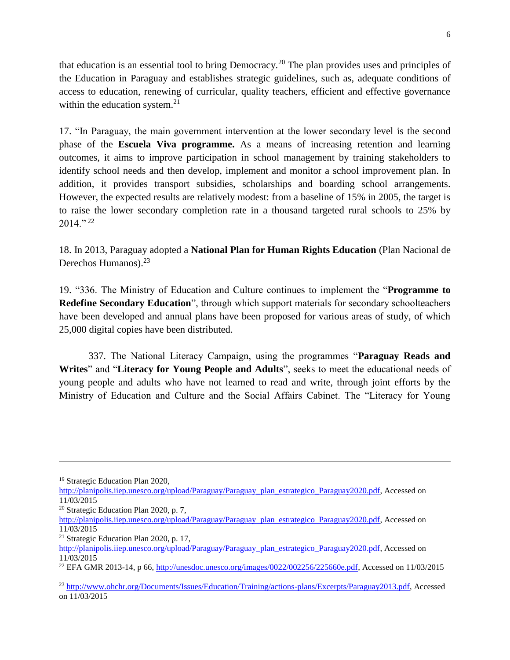that education is an essential tool to bring Democracy.<sup>20</sup> The plan provides uses and principles of the Education in Paraguay and establishes strategic guidelines, such as, adequate conditions of access to education, renewing of curricular, quality teachers, efficient and effective governance within the education system.<sup>21</sup>

17. "In Paraguay, the main government intervention at the lower secondary level is the second phase of the **Escuela Viva programme.** As a means of increasing retention and learning outcomes, it aims to improve participation in school management by training stakeholders to identify school needs and then develop, implement and monitor a school improvement plan. In addition, it provides transport subsidies, scholarships and boarding school arrangements. However, the expected results are relatively modest: from a baseline of 15% in 2005, the target is to raise the lower secondary completion rate in a thousand targeted rural schools to 25% by  $2014.$ " <sup>22</sup>

18. In 2013, Paraguay adopted a **National Plan for Human Rights Education** (Plan Nacional de Derechos Humanos).<sup>23</sup>

19. "336. The Ministry of Education and Culture continues to implement the "**Programme to Redefine Secondary Education**", through which support materials for secondary schoolteachers have been developed and annual plans have been proposed for various areas of study, of which 25,000 digital copies have been distributed.

337. The National Literacy Campaign, using the programmes "**Paraguay Reads and Writes**" and "**Literacy for Young People and Adults**", seeks to meet the educational needs of young people and adults who have not learned to read and write, through joint efforts by the Ministry of Education and Culture and the Social Affairs Cabinet. The "Literacy for Young

<sup>19</sup> Strategic Education Plan 2020,

[http://planipolis.iiep.unesco.org/upload/Paraguay/Paraguay\\_plan\\_estrategico\\_Paraguay2020.pdf,](http://planipolis.iiep.unesco.org/upload/Paraguay/Paraguay_plan_estrategico_Paraguay2020.pdf) Accessed on 11/03/2015

<sup>20</sup> Strategic Education Plan 2020, p. 7,

[http://planipolis.iiep.unesco.org/upload/Paraguay/Paraguay\\_plan\\_estrategico\\_Paraguay2020.pdf,](http://planipolis.iiep.unesco.org/upload/Paraguay/Paraguay_plan_estrategico_Paraguay2020.pdf) Accessed on 11/03/2015

<sup>21</sup> Strategic Education Plan 2020, p. 17,

[http://planipolis.iiep.unesco.org/upload/Paraguay/Paraguay\\_plan\\_estrategico\\_Paraguay2020.pdf,](http://planipolis.iiep.unesco.org/upload/Paraguay/Paraguay_plan_estrategico_Paraguay2020.pdf) Accessed on 11/03/2015

<sup>&</sup>lt;sup>22</sup> EFA GMR 2013-14, p 66, [http://unesdoc.unesco.org/images/0022/002256/225660e.pdf,](http://unesdoc.unesco.org/images/0022/002256/225660e.pdf) Accessed on 11/03/2015

<sup>23</sup> [http://www.ohchr.org/Documents/Issues/Education/Training/actions-plans/Excerpts/Paraguay2013.pdf,](http://www.ohchr.org/Documents/Issues/Education/Training/actions-plans/Excerpts/Paraguay2013.pdf) Accessed on 11/03/2015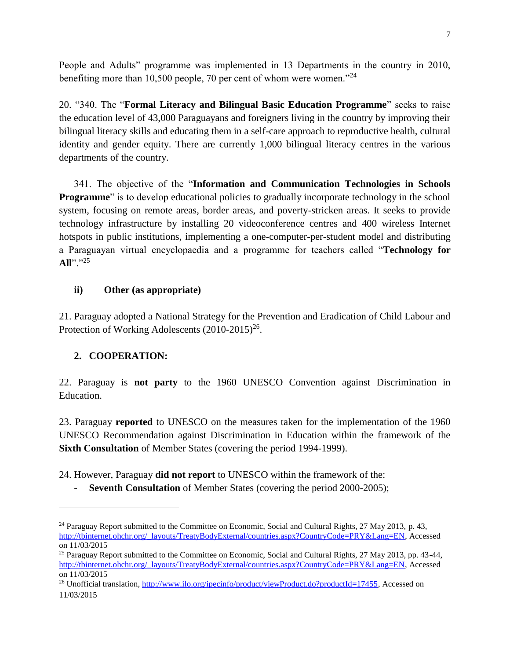People and Adults" programme was implemented in 13 Departments in the country in 2010, benefiting more than 10,500 people, 70 per cent of whom were women."<sup>24</sup>

20. "340. The "**Formal Literacy and Bilingual Basic Education Programme**" seeks to raise the education level of 43,000 Paraguayans and foreigners living in the country by improving their bilingual literacy skills and educating them in a self-care approach to reproductive health, cultural identity and gender equity. There are currently 1,000 bilingual literacy centres in the various departments of the country.

341. The objective of the "**Information and Communication Technologies in Schools Programme**" is to develop educational policies to gradually incorporate technology in the school system, focusing on remote areas, border areas, and poverty-stricken areas. It seeks to provide technology infrastructure by installing 20 videoconference centres and 400 wireless Internet hotspots in public institutions, implementing a one-computer-per-student model and distributing a Paraguayan virtual encyclopaedia and a programme for teachers called "**Technology for All**"."<sup>25</sup>

## **ii) Other (as appropriate)**

21. Paraguay adopted a National Strategy for the Prevention and Eradication of Child Labour and Protection of Working Adolescents (2010-2015)<sup>26</sup>.

## **2. COOPERATION:**

 $\overline{a}$ 

22. Paraguay is **not party** to the 1960 UNESCO Convention against Discrimination in Education.

23. Paraguay **reported** to UNESCO on the measures taken for the implementation of the 1960 UNESCO Recommendation against Discrimination in Education within the framework of the **Sixth Consultation** of Member States (covering the period 1994-1999).

24. However, Paraguay **did not report** to UNESCO within the framework of the:

**Seventh Consultation** of Member States (covering the period 2000-2005);

<sup>&</sup>lt;sup>24</sup> Paraguay Report submitted to the Committee on Economic, Social and Cultural Rights, 27 May 2013, p. 43, [http://tbinternet.ohchr.org/\\_layouts/TreatyBodyExternal/countries.aspx?CountryCode=PRY&Lang=EN,](http://tbinternet.ohchr.org/_layouts/TreatyBodyExternal/countries.aspx?CountryCode=PRY&Lang=EN) Accessed on 11/03/2015

<sup>&</sup>lt;sup>25</sup> Paraguay Report submitted to the Committee on Economic, Social and Cultural Rights, 27 May 2013, pp. 43-44, [http://tbinternet.ohchr.org/\\_layouts/TreatyBodyExternal/countries.aspx?CountryCode=PRY&Lang=EN,](http://tbinternet.ohchr.org/_layouts/TreatyBodyExternal/countries.aspx?CountryCode=PRY&Lang=EN) Accessed on 11/03/2015

<sup>&</sup>lt;sup>26</sup> Unofficial translation[, http://www.ilo.org/ipecinfo/product/viewProduct.do?productId=17455,](http://www.ilo.org/ipecinfo/product/viewProduct.do?productId=17455) Accessed on 11/03/2015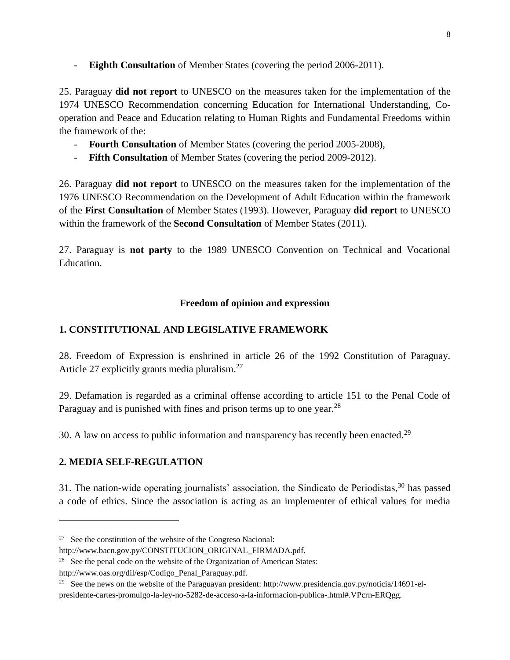**Eighth Consultation** of Member States (covering the period 2006-2011).

25. Paraguay **did not report** to UNESCO on the measures taken for the implementation of the 1974 UNESCO Recommendation concerning Education for International Understanding, Cooperation and Peace and Education relating to Human Rights and Fundamental Freedoms within the framework of the:

- **Fourth Consultation** of Member States (covering the period 2005-2008),
- **Fifth Consultation** of Member States (covering the period 2009-2012).

26. Paraguay **did not report** to UNESCO on the measures taken for the implementation of the 1976 UNESCO Recommendation on the Development of Adult Education within the framework of the **First Consultation** of Member States (1993). However, Paraguay **did report** to UNESCO within the framework of the **Second Consultation** of Member States (2011).

27. Paraguay is **not party** to the 1989 UNESCO Convention on Technical and Vocational Education.

## **Freedom of opinion and expression**

# **1. CONSTITUTIONAL AND LEGISLATIVE FRAMEWORK**

28. Freedom of Expression is enshrined in article 26 of the 1992 Constitution of Paraguay. Article 27 explicitly grants media pluralism.<sup>27</sup>

29. Defamation is regarded as a criminal offense according to article 151 to the Penal Code of Paraguay and is punished with fines and prison terms up to one year.<sup>28</sup>

30. A law on access to public information and transparency has recently been enacted.<sup>29</sup>

## **2. MEDIA SELF-REGULATION**

 $\overline{\phantom{a}}$ 

31. The nation-wide operating journalists' association, the Sindicato de Periodistas, <sup>30</sup> has passed a code of ethics. Since the association is acting as an implementer of ethical values for media

http://www.oas.org/dil/esp/Codigo\_Penal\_Paraguay.pdf.

<sup>&</sup>lt;sup>27</sup> See the constitution of the website of the Congreso Nacional:

http://www.bacn.gov.py/CONSTITUCION\_ORIGINAL\_FIRMADA.pdf.

<sup>&</sup>lt;sup>28</sup> See the penal code on the website of the Organization of American States:

<sup>&</sup>lt;sup>29</sup> See the news on the website of the Paraguayan president: http://www.presidencia.gov.py/noticia/14691-elpresidente-cartes-promulgo-la-ley-no-5282-de-acceso-a-la-informacion-publica-.html#.VPcrn-ERQgg.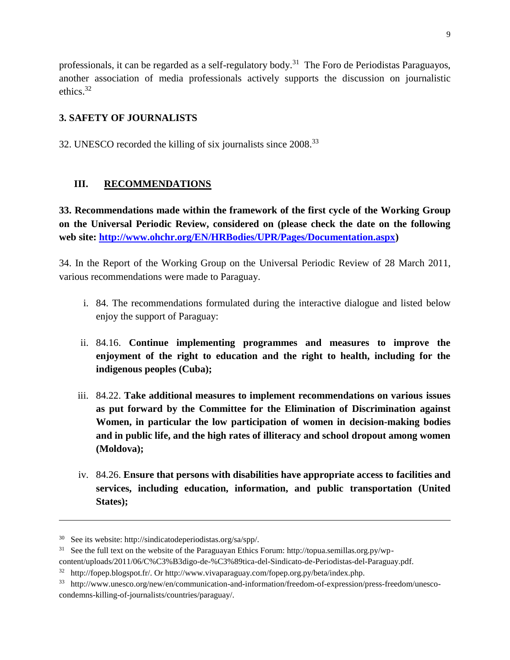professionals, it can be regarded as a self-regulatory body.<sup>31</sup> The Foro de Periodistas Paraguayos, another association of media professionals actively supports the discussion on journalistic ethics. 32

# **3. SAFETY OF JOURNALISTS**

32. UNESCO recorded the killing of six journalists since 2008.<sup>33</sup>

# **III. RECOMMENDATIONS**

**33. Recommendations made within the framework of the first cycle of the Working Group on the Universal Periodic Review, considered on (please check the date on the following web site: [http://www.ohchr.org/EN/HRBodies/UPR/Pages/Documentation.aspx\)](http://www.ohchr.org/EN/HRBodies/UPR/Pages/Documentation.aspx)** 

34. In the Report of the Working Group on the Universal Periodic Review of 28 March 2011, various recommendations were made to Paraguay.

- i. 84. The recommendations formulated during the interactive dialogue and listed below enjoy the support of Paraguay:
- ii. 84.16. **Continue implementing programmes and measures to improve the enjoyment of the right to education and the right to health, including for the indigenous peoples (Cuba);**
- iii. 84.22. **Take additional measures to implement recommendations on various issues as put forward by the Committee for the Elimination of Discrimination against Women, in particular the low participation of women in decision-making bodies and in public life, and the high rates of illiteracy and school dropout among women (Moldova);**
- iv. 84.26. **Ensure that persons with disabilities have appropriate access to facilities and services, including education, information, and public transportation (United States);**

<sup>30</sup> See its website: http://sindicatodeperiodistas.org/sa/spp/.

<sup>&</sup>lt;sup>31</sup> See the full text on the website of the Paraguayan Ethics Forum: http://topua.semillas.org.py/wp-

content/uploads/2011/06/C%C3%B3digo-de-%C3%89tica-del-Sindicato-de-Periodistas-del-Paraguay.pdf.

<sup>&</sup>lt;sup>32</sup> http://fopep.blogspot.fr/. Or http://www.vivaparaguay.com/fopep.org.py/beta/index.php.

<sup>33</sup> http://www.unesco.org/new/en/communication-and-information/freedom-of-expression/press-freedom/unescocondemns-killing-of-journalists/countries/paraguay/.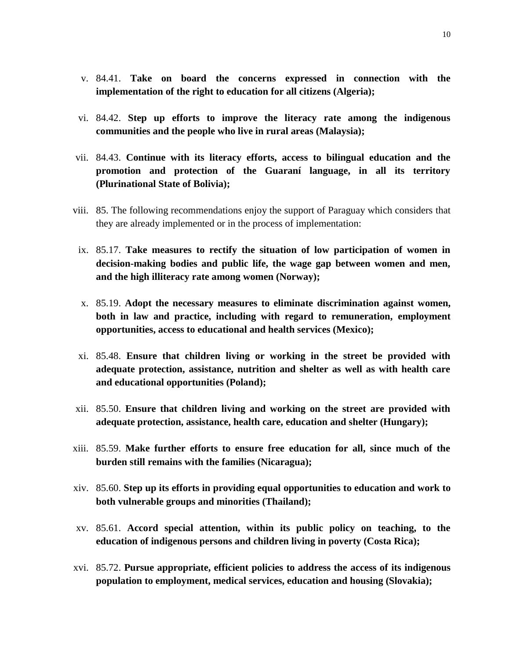- v. 84.41. **Take on board the concerns expressed in connection with the implementation of the right to education for all citizens (Algeria);**
- vi. 84.42. **Step up efforts to improve the literacy rate among the indigenous communities and the people who live in rural areas (Malaysia);**
- vii. 84.43. **Continue with its literacy efforts, access to bilingual education and the promotion and protection of the Guaraní language, in all its territory (Plurinational State of Bolivia);**
- viii. 85. The following recommendations enjoy the support of Paraguay which considers that they are already implemented or in the process of implementation:
- ix. 85.17. **Take measures to rectify the situation of low participation of women in decision-making bodies and public life, the wage gap between women and men, and the high illiteracy rate among women (Norway);**
- x. 85.19. **Adopt the necessary measures to eliminate discrimination against women, both in law and practice, including with regard to remuneration, employment opportunities, access to educational and health services (Mexico);**
- xi. 85.48. **Ensure that children living or working in the street be provided with adequate protection, assistance, nutrition and shelter as well as with health care and educational opportunities (Poland);**
- xii. 85.50. **Ensure that children living and working on the street are provided with adequate protection, assistance, health care, education and shelter (Hungary);**
- xiii. 85.59. **Make further efforts to ensure free education for all, since much of the burden still remains with the families (Nicaragua);**
- xiv. 85.60. **Step up its efforts in providing equal opportunities to education and work to both vulnerable groups and minorities (Thailand);**
- xv. 85.61. **Accord special attention, within its public policy on teaching, to the education of indigenous persons and children living in poverty (Costa Rica);**
- xvi. 85.72. **Pursue appropriate, efficient policies to address the access of its indigenous population to employment, medical services, education and housing (Slovakia);**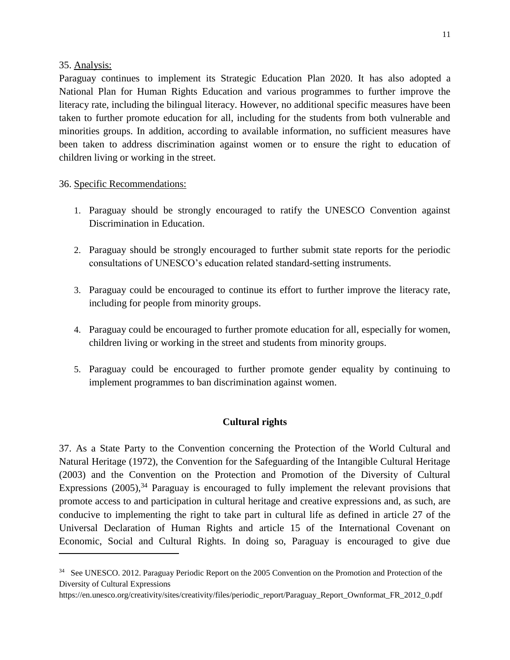#### 35. Analysis:

 $\overline{\phantom{a}}$ 

Paraguay continues to implement its Strategic Education Plan 2020. It has also adopted a National Plan for Human Rights Education and various programmes to further improve the literacy rate, including the bilingual literacy. However, no additional specific measures have been taken to further promote education for all, including for the students from both vulnerable and minorities groups. In addition, according to available information, no sufficient measures have been taken to address discrimination against women or to ensure the right to education of children living or working in the street.

#### 36. Specific Recommendations:

- 1. Paraguay should be strongly encouraged to ratify the UNESCO Convention against Discrimination in Education.
- 2. Paraguay should be strongly encouraged to further submit state reports for the periodic consultations of UNESCO's education related standard-setting instruments.
- 3. Paraguay could be encouraged to continue its effort to further improve the literacy rate, including for people from minority groups.
- 4. Paraguay could be encouraged to further promote education for all, especially for women, children living or working in the street and students from minority groups.
- 5. Paraguay could be encouraged to further promote gender equality by continuing to implement programmes to ban discrimination against women.

## **Cultural rights**

37. As a State Party to the Convention concerning the Protection of the World Cultural and Natural Heritage (1972), the Convention for the Safeguarding of the Intangible Cultural Heritage (2003) and the Convention on the Protection and Promotion of the Diversity of Cultural Expressions (2005),<sup>34</sup> Paraguay is encouraged to fully implement the relevant provisions that promote access to and participation in cultural heritage and creative expressions and, as such, are conducive to implementing the right to take part in cultural life as defined in article 27 of the Universal Declaration of Human Rights and article 15 of the International Covenant on Economic, Social and Cultural Rights. In doing so, Paraguay is encouraged to give due

<sup>&</sup>lt;sup>34</sup> See UNESCO. 2012. Paraguay Periodic Report on the 2005 Convention on the Promotion and Protection of the Diversity of Cultural Expressions

https://en.unesco.org/creativity/sites/creativity/files/periodic\_report/Paraguay\_Report\_Ownformat\_FR\_2012\_0.pdf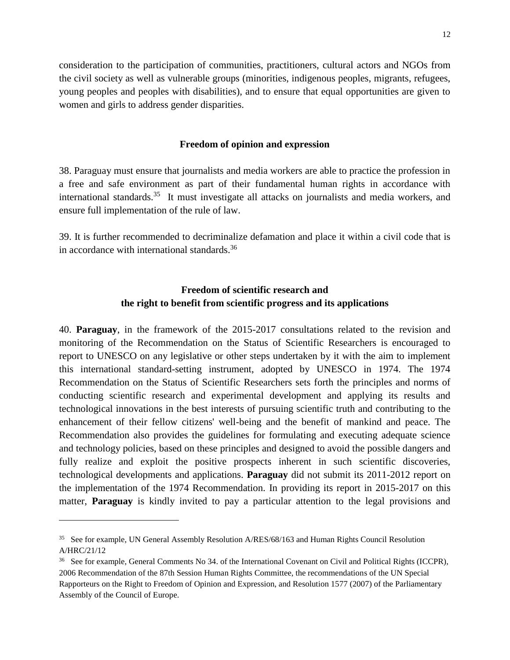consideration to the participation of communities, practitioners, cultural actors and NGOs from the civil society as well as vulnerable groups (minorities, indigenous peoples, migrants, refugees, young peoples and peoples with disabilities), and to ensure that equal opportunities are given to women and girls to address gender disparities.

#### **Freedom of opinion and expression**

38. Paraguay must ensure that journalists and media workers are able to practice the profession in a free and safe environment as part of their fundamental human rights in accordance with international standards.<sup>35</sup> It must investigate all attacks on journalists and media workers, and ensure full implementation of the rule of law.

39. It is further recommended to decriminalize defamation and place it within a civil code that is in accordance with international standards.<sup>36</sup>

# **Freedom of scientific research and the right to benefit from scientific progress and its applications**

40. **Paraguay**, in the framework of the 2015-2017 consultations related to the revision and monitoring of the Recommendation on the Status of Scientific Researchers is encouraged to report to UNESCO on any legislative or other steps undertaken by it with the aim to implement this international standard-setting instrument, adopted by UNESCO in 1974. The 1974 Recommendation on the Status of Scientific Researchers sets forth the principles and norms of conducting scientific research and experimental development and applying its results and technological innovations in the best interests of pursuing scientific truth and contributing to the enhancement of their fellow citizens' well-being and the benefit of mankind and peace. The Recommendation also provides the guidelines for formulating and executing adequate science and technology policies, based on these principles and designed to avoid the possible dangers and fully realize and exploit the positive prospects inherent in such scientific discoveries, technological developments and applications. **Paraguay** did not submit its 2011-2012 report on the implementation of the 1974 Recommendation. In providing its report in 2015-2017 on this matter, **Paraguay** is kindly invited to pay a particular attention to the legal provisions and

<sup>&</sup>lt;sup>35</sup> See for example, UN General Assembly Resolution A/RES/68/163 and Human Rights Council Resolution A/HRC/21/12

<sup>&</sup>lt;sup>36</sup> See for example, General Comments No 34. of the International Covenant on Civil and Political Rights (ICCPR), 2006 Recommendation of the 87th Session Human Rights Committee, the recommendations of the UN Special Rapporteurs on the Right to Freedom of Opinion and Expression, and Resolution 1577 (2007) of the Parliamentary Assembly of the Council of Europe.